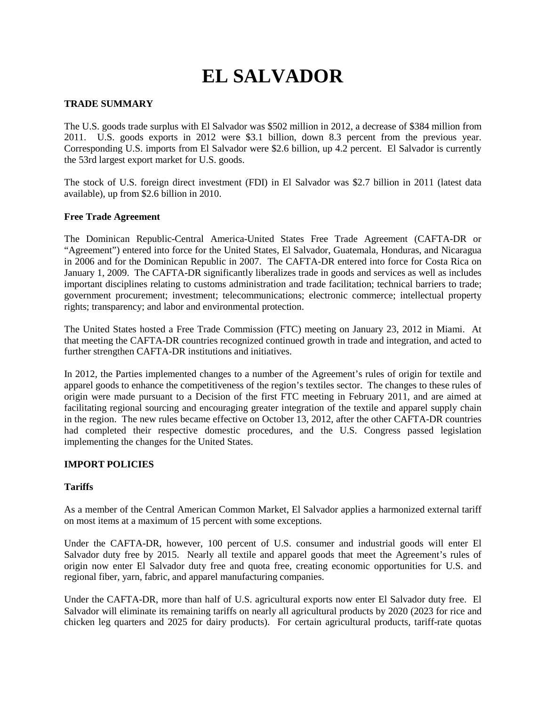# **EL SALVADOR**

## **TRADE SUMMARY**

The U.S. goods trade surplus with El Salvador was \$502 million in 2012, a decrease of \$384 million from 2011. U.S. goods exports in 2012 were \$3.1 billion, down 8.3 percent from the previous year. Corresponding U.S. imports from El Salvador were \$2.6 billion, up 4.2 percent. El Salvador is currently the 53rd largest export market for U.S. goods.

The stock of U.S. foreign direct investment (FDI) in El Salvador was \$2.7 billion in 2011 (latest data available), up from \$2.6 billion in 2010.

#### **Free Trade Agreement**

The Dominican Republic-Central America-United States Free Trade Agreement (CAFTA-DR or "Agreement") entered into force for the United States, El Salvador, Guatemala, Honduras, and Nicaragua in 2006 and for the Dominican Republic in 2007. The CAFTA-DR entered into force for Costa Rica on January 1, 2009. The CAFTA-DR significantly liberalizes trade in goods and services as well as includes important disciplines relating to customs administration and trade facilitation; technical barriers to trade; government procurement; investment; telecommunications; electronic commerce; intellectual property rights; transparency; and labor and environmental protection.

The United States hosted a Free Trade Commission (FTC) meeting on January 23, 2012 in Miami. At that meeting the CAFTA-DR countries recognized continued growth in trade and integration, and acted to further strengthen CAFTA-DR institutions and initiatives.

In 2012, the Parties implemented changes to a number of the Agreement's rules of origin for textile and apparel goods to enhance the competitiveness of the region's textiles sector. The changes to these rules of origin were made pursuant to a Decision of the first FTC meeting in February 2011, and are aimed at facilitating regional sourcing and encouraging greater integration of the textile and apparel supply chain in the region. The new rules became effective on October 13, 2012, after the other CAFTA-DR countries had completed their respective domestic procedures, and the U.S. Congress passed legislation implementing the changes for the United States.

#### **IMPORT POLICIES**

## **Tariffs**

As a member of the Central American Common Market, El Salvador applies a harmonized external tariff on most items at a maximum of 15 percent with some exceptions.

Under the CAFTA-DR, however, 100 percent of U.S. consumer and industrial goods will enter El Salvador duty free by 2015. Nearly all textile and apparel goods that meet the Agreement's rules of origin now enter El Salvador duty free and quota free, creating economic opportunities for U.S. and regional fiber, yarn, fabric, and apparel manufacturing companies.

Under the CAFTA-DR, more than half of U.S. agricultural exports now enter El Salvador duty free. El Salvador will eliminate its remaining tariffs on nearly all agricultural products by 2020 (2023 for rice and chicken leg quarters and 2025 for dairy products). For certain agricultural products, tariff-rate quotas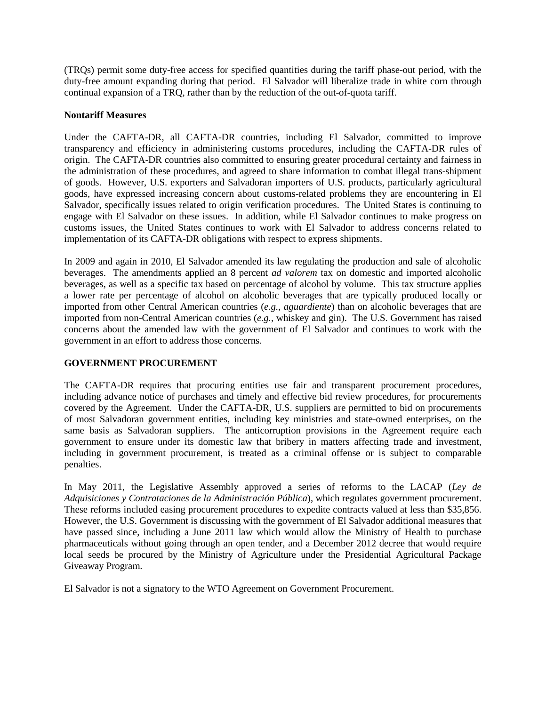(TRQs) permit some duty-free access for specified quantities during the tariff phase-out period, with the duty-free amount expanding during that period. El Salvador will liberalize trade in white corn through continual expansion of a TRQ, rather than by the reduction of the out-of-quota tariff.

# **Nontariff Measures**

Under the CAFTA-DR, all CAFTA-DR countries, including El Salvador, committed to improve transparency and efficiency in administering customs procedures, including the CAFTA-DR rules of origin. The CAFTA-DR countries also committed to ensuring greater procedural certainty and fairness in the administration of these procedures, and agreed to share information to combat illegal trans-shipment of goods. However, U.S. exporters and Salvadoran importers of U.S. products, particularly agricultural goods, have expressed increasing concern about customs-related problems they are encountering in El Salvador, specifically issues related to origin verification procedures. The United States is continuing to engage with El Salvador on these issues. In addition, while El Salvador continues to make progress on customs issues, the United States continues to work with El Salvador to address concerns related to implementation of its CAFTA-DR obligations with respect to express shipments.

In 2009 and again in 2010, El Salvador amended its law regulating the production and sale of alcoholic beverages. The amendments applied an 8 percent *ad valorem* tax on domestic and imported alcoholic beverages, as well as a specific tax based on percentage of alcohol by volume. This tax structure applies a lower rate per percentage of alcohol on alcoholic beverages that are typically produced locally or imported from other Central American countries (*e.g.*, *aguardiente*) than on alcoholic beverages that are imported from non-Central American countries (*e.g.*, whiskey and gin). The U.S. Government has raised concerns about the amended law with the government of El Salvador and continues to work with the government in an effort to address those concerns.

# **GOVERNMENT PROCUREMENT**

The CAFTA-DR requires that procuring entities use fair and transparent procurement procedures, including advance notice of purchases and timely and effective bid review procedures, for procurements covered by the Agreement. Under the CAFTA-DR, U.S. suppliers are permitted to bid on procurements of most Salvadoran government entities, including key ministries and state-owned enterprises, on the same basis as Salvadoran suppliers. The anticorruption provisions in the Agreement require each government to ensure under its domestic law that bribery in matters affecting trade and investment, including in government procurement, is treated as a criminal offense or is subject to comparable penalties.

In May 2011, the Legislative Assembly approved a series of reforms to the LACAP (*Ley de Adquisiciones y Contrataciones de la Administración Pública*), which regulates government procurement. These reforms included easing procurement procedures to expedite contracts valued at less than \$35,856. However, the U.S. Government is discussing with the government of El Salvador additional measures that have passed since, including a June 2011 law which would allow the Ministry of Health to purchase pharmaceuticals without going through an open tender, and a December 2012 decree that would require local seeds be procured by the Ministry of Agriculture under the Presidential Agricultural Package Giveaway Program.

El Salvador is not a signatory to the WTO Agreement on Government Procurement.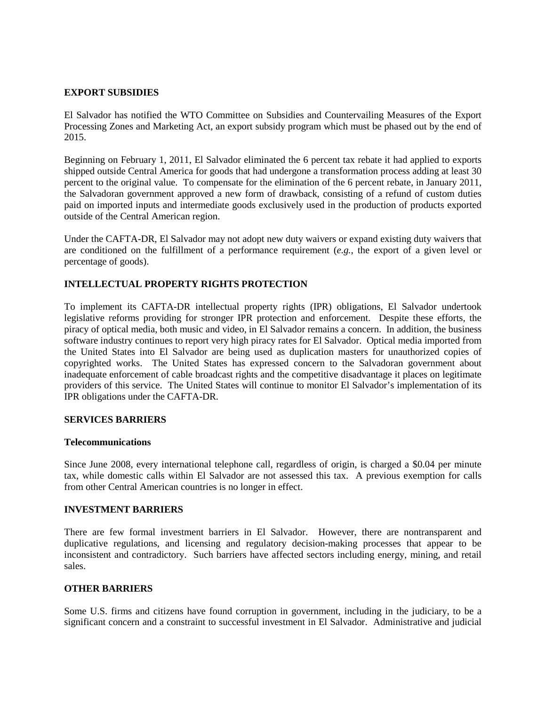#### **EXPORT SUBSIDIES**

El Salvador has notified the WTO Committee on Subsidies and Countervailing Measures of the Export Processing Zones and Marketing Act, an export subsidy program which must be phased out by the end of 2015.

Beginning on February 1, 2011, El Salvador eliminated the 6 percent tax rebate it had applied to exports shipped outside Central America for goods that had undergone a transformation process adding at least 30 percent to the original value. To compensate for the elimination of the 6 percent rebate, in January 2011, the Salvadoran government approved a new form of drawback, consisting of a refund of custom duties paid on imported inputs and intermediate goods exclusively used in the production of products exported outside of the Central American region.

Under the CAFTA-DR, El Salvador may not adopt new duty waivers or expand existing duty waivers that are conditioned on the fulfillment of a performance requirement (*e.g.*, the export of a given level or percentage of goods).

# **INTELLECTUAL PROPERTY RIGHTS PROTECTION**

To implement its CAFTA-DR intellectual property rights (IPR) obligations, El Salvador undertook legislative reforms providing for stronger IPR protection and enforcement. Despite these efforts, the piracy of optical media, both music and video, in El Salvador remains a concern. In addition, the business software industry continues to report very high piracy rates for El Salvador. Optical media imported from the United States into El Salvador are being used as duplication masters for unauthorized copies of copyrighted works. The United States has expressed concern to the Salvadoran government about inadequate enforcement of cable broadcast rights and the competitive disadvantage it places on legitimate providers of this service. The United States will continue to monitor El Salvador's implementation of its IPR obligations under the CAFTA-DR.

## **SERVICES BARRIERS**

#### **Telecommunications**

Since June 2008, every international telephone call, regardless of origin, is charged a \$0.04 per minute tax, while domestic calls within El Salvador are not assessed this tax. A previous exemption for calls from other Central American countries is no longer in effect.

## **INVESTMENT BARRIERS**

There are few formal investment barriers in El Salvador. However, there are nontransparent and duplicative regulations, and licensing and regulatory decision-making processes that appear to be inconsistent and contradictory. Such barriers have affected sectors including energy, mining, and retail sales.

# **OTHER BARRIERS**

Some U.S. firms and citizens have found corruption in government, including in the judiciary, to be a significant concern and a constraint to successful investment in El Salvador. Administrative and judicial